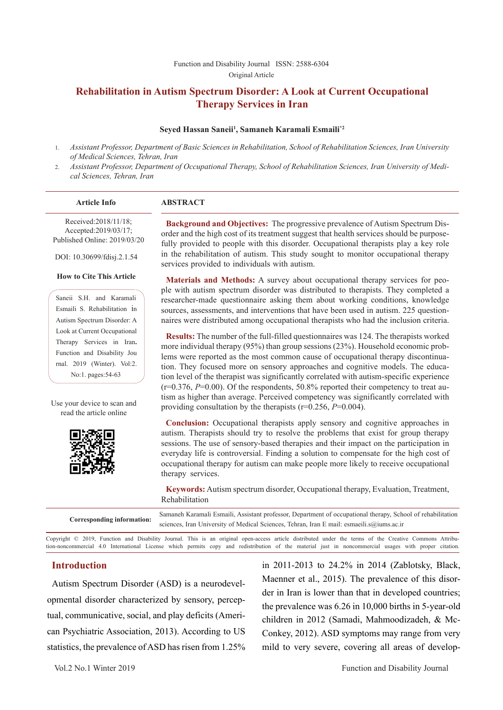#### Function and Disability Journal ISSN: 2588-6304 Original Article

# **Rehabilitation in Autism Spectrum Disorder: A Look at Current Occupational Therapy Services in Iran**

#### **Seyed Hassan Saneii1 , Samaneh Karamali Esmaili\*2**

- 1. *Assistant Professor, Department of Basic Sciences in Rehabilitation, School of Rehabilitation Sciences, Iran University of Medical Sciences, Tehran, Iran*
- 2. *Assistant Professor, Department of Occupational Therapy, School of Rehabilitation Sciences, Iran University of Medical Sciences, Tehran, Iran*

| <b>Article Info</b>                                                          | <b>ABSTRACT</b>                                                                                                                                                                                                                                                          |
|------------------------------------------------------------------------------|--------------------------------------------------------------------------------------------------------------------------------------------------------------------------------------------------------------------------------------------------------------------------|
| Received:2018/11/18;<br>Accepted:2019/03/17;<br>Published Online: 2019/03/20 | <b>Background and Objectives:</b> The progressive prevalence of Autism Spectrum Dis-<br>order and the high cost of its treatment suggest that health services should be purpose-<br>fully provided to people with this disorder. Occupational therapists play a key role |
| DOI: 10.30699/fdisj.2.1.54                                                   | in the rehabilitation of autism. This study sought to monitor occupational therapy<br>services provided to individuals with autism.                                                                                                                                      |
| <b>How to Cite This Article</b>                                              | <b>Materials and Methods:</b> A survey about occupational therapy services for peo-                                                                                                                                                                                      |
| Saneii S.H. and Karamali                                                     | ple with autism spectrum disorder was distributed to therapists. They completed a<br>researcher-made questionnaire asking them about working conditions, knowledge                                                                                                       |
| Esmaili S. Rehabilitation in                                                 | sources, assessments, and interventions that have been used in autism. 225 question-                                                                                                                                                                                     |
| Autism Spectrum Disorder: A                                                  | naires were distributed among occupational therapists who had the inclusion criteria.                                                                                                                                                                                    |
| Look at Current Occupational                                                 |                                                                                                                                                                                                                                                                          |
| Therapy Services in Iran.                                                    | <b>Results:</b> The number of the full-filled questionnaires was 124. The therapists worked<br>more individual therapy $(95\%)$ than group sessions $(23\%)$ . Household economic prob-                                                                                  |
| Function and Disability Jou                                                  |                                                                                                                                                                                                                                                                          |

lems were reported as the most common cause of occupational therapy discontinuation. They focused more on sensory approaches and cognitive models. The education level of the therapist was significantly correlated with autism-specific experience (r=0.376, *P*=0.00). Of the respondents, 50.8% reported their competency to treat autism as higher than average. Perceived competency was significantly correlated with providing consultation by the therapists (r=0.256, *P*=0.004).

**Conclusion:** Occupational therapists apply sensory and cognitive approaches in autism. Therapists should try to resolve the problems that exist for group therapy sessions. The use of sensory-based therapies and their impact on the participation in everyday life is controversial. Finding a solution to compensate for the high cost of occupational therapy for autism can make people more likely to receive occupational therapy services.

**Keywords:** Autism spectrum disorder, Occupational therapy, Evaluation, Treatment, Rehabilitation

**Corresponding information:** Samaneh Karamali Esmaili, Assistant professor, Department of occupational therapy, School of rehabilitation sciences, Iran University of Medical Sciences, Tehran, Iran E mail: esmaeili.s@iums.ac.ir

Copyright © 2019, Function and Disability Journal. This is an original open-access article distributed under the terms of the Creative Commons Attribution-noncommercial 4.0 International License which permits copy and redistribution of the material just in noncommercial usages with proper citation.

#### **Introduction**

rnal. 2019 (Winter). Vol:2. No:1. pages:54-63

Use your device to scan and read the article online

Autism Spectrum Disorder (ASD) is a neurodevelopmental disorder characterized by sensory, perceptual, communicative, social, and play deficits (American Psychiatric Association, 2013). According to US statistics, the prevalence of ASD has risen from 1.25% in 2011-2013 to 24.2% in 2014 (Zablotsky, Black, Maenner et al., 2015). The prevalence of this disorder in Iran is lower than that in developed countries; the prevalence was 6.26 in 10,000 births in 5-year-old children in 2012 (Samadi, Mahmoodizadeh, & Mc-Conkey, 2012). ASD symptoms may range from very mild to very severe, covering all areas of develop-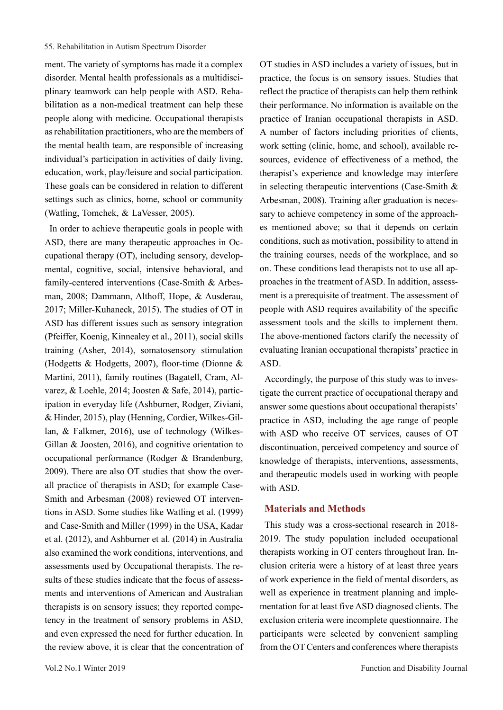ment. The variety of symptoms has made it a complex disorder. Mental health professionals as a multidisciplinary teamwork can help people with ASD. Rehabilitation as a non-medical treatment can help these people along with medicine. Occupational therapists as rehabilitation practitioners, who are the members of the mental health team, are responsible of increasing individual's participation in activities of daily living, education, work, play/leisure and social participation. These goals can be considered in relation to different settings such as clinics, home, school or community (Watling, Tomchek, & LaVesser, 2005).

In order to achieve therapeutic goals in people with ASD, there are many therapeutic approaches in Occupational therapy (OT), including sensory, developmental, cognitive, social, intensive behavioral, and family-centered interventions (Case-Smith & Arbesman, 2008; Dammann, Althoff, Hope, & Ausderau, 2017; Miller-Kuhaneck, 2015). The studies of OT in ASD has different issues such as sensory integration (Pfeiffer, Koenig, Kinnealey et al., 2011), social skills training (Asher, 2014), somatosensory stimulation (Hodgetts & Hodgetts, 2007), floor-time (Dionne & Martini, 2011), family routines (Bagatell, Cram, Alvarez, & Loehle, 2014; Joosten & Safe, 2014), participation in everyday life (Ashburner, Rodger, Ziviani, & Hinder, 2015), play (Henning, Cordier, Wilkes‐Gillan, & Falkmer, 2016), use of technology (Wilkes‐ Gillan & Joosten, 2016), and cognitive orientation to occupational performance (Rodger & Brandenburg, 2009). There are also OT studies that show the overall practice of therapists in ASD; for example Case-Smith and Arbesman (2008) reviewed OT interventions in ASD. Some studies like Watling et al. (1999) and Case-Smith and Miller (1999) in the USA, Kadar et al. (2012), and Ashburner et al. (2014) in Australia also examined the work conditions, interventions, and assessments used by Occupational therapists. The results of these studies indicate that the focus of assessments and interventions of American and Australian therapists is on sensory issues; they reported competency in the treatment of sensory problems in ASD, and even expressed the need for further education. In the review above, it is clear that the concentration of

OT studies in ASD includes a variety of issues, but in practice, the focus is on sensory issues. Studies that reflect the practice of therapists can help them rethink their performance. No information is available on the practice of Iranian occupational therapists in ASD. A number of factors including priorities of clients, work setting (clinic, home, and school), available resources, evidence of effectiveness of a method, the therapist's experience and knowledge may interfere in selecting therapeutic interventions (Case-Smith & Arbesman, 2008). Training after graduation is necessary to achieve competency in some of the approaches mentioned above; so that it depends on certain conditions, such as motivation, possibility to attend in the training courses, needs of the workplace, and so on. These conditions lead therapists not to use all approaches in the treatment of ASD. In addition, assessment is a prerequisite of treatment. The assessment of people with ASD requires availability of the specific assessment tools and the skills to implement them. The above-mentioned factors clarify the necessity of evaluating Iranian occupational therapists' practice in ASD.

Accordingly, the purpose of this study was to investigate the current practice of occupational therapy and answer some questions about occupational therapists' practice in ASD, including the age range of people with ASD who receive OT services, causes of OT discontinuation, perceived competency and source of knowledge of therapists, interventions, assessments, and therapeutic models used in working with people with ASD.

#### **Materials and Methods**

This study was a cross-sectional research in 2018- 2019. The study population included occupational therapists working in OT centers throughout Iran. Inclusion criteria were a history of at least three years of work experience in the field of mental disorders, as well as experience in treatment planning and implementation for at least five ASD diagnosed clients. The exclusion criteria were incomplete questionnaire. The participants were selected by convenient sampling from the OT Centers and conferences where therapists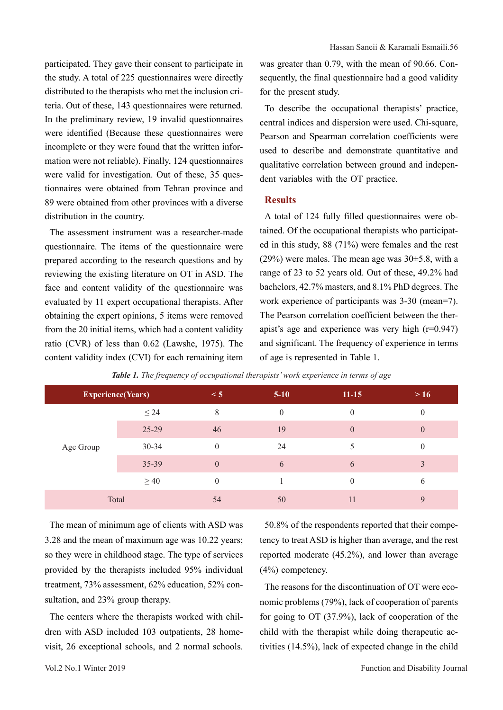participated. They gave their consent to participate in the study. A total of 225 questionnaires were directly distributed to the therapists who met the inclusion criteria. Out of these, 143 questionnaires were returned. In the preliminary review, 19 invalid questionnaires were identified (Because these questionnaires were incomplete or they were found that the written information were not reliable). Finally, 124 questionnaires were valid for investigation. Out of these, 35 questionnaires were obtained from Tehran province and 89 were obtained from other provinces with a diverse distribution in the country.

The assessment instrument was a researcher-made questionnaire. The items of the questionnaire were prepared according to the research questions and by reviewing the existing literature on OT in ASD. The face and content validity of the questionnaire was evaluated by 11 expert occupational therapists. After obtaining the expert opinions, 5 items were removed from the 20 initial items, which had a content validity ratio (CVR) of less than 0.62 (Lawshe, 1975). The content validity index (CVI) for each remaining item

was greater than 0.79, with the mean of 90.66. Consequently, the final questionnaire had a good validity for the present study.

To describe the occupational therapists' practice, central indices and dispersion were used. Chi-square, Pearson and Spearman correlation coefficients were used to describe and demonstrate quantitative and qualitative correlation between ground and independent variables with the OT practice.

# **Results**

A total of 124 fully filled questionnaires were obtained. Of the occupational therapists who participated in this study, 88 (71%) were females and the rest (29%) were males. The mean age was 30±5.8, with a range of 23 to 52 years old. Out of these, 49.2% had bachelors, 42.7% masters, and 8.1% PhD degrees. The work experience of participants was 3-30 (mean=7). The Pearson correlation coefficient between the therapist's age and experience was very high (r=0.947) and significant. The frequency of experience in terms of age is represented in Table 1.

| <b>Experience(Years)</b> |           | $\leq 5$ | $5-10$   | $11 - 15$      | >16 |  |
|--------------------------|-----------|----------|----------|----------------|-----|--|
| Age Group                | $\leq$ 24 | 8        | $\theta$ | $\mathbf{0}$   |     |  |
|                          | 25-29     | 46       | 19       | $\overline{0}$ | 0   |  |
|                          | $30 - 34$ | $\theta$ | 24       |                |     |  |
|                          | 35-39     | $\theta$ | 6        | 6              | 3   |  |
|                          | $\geq 40$ | $\theta$ |          | $\mathbf{0}$   | 6   |  |
| Total                    |           | 54       | 50       | 11             | 9   |  |

*Table 1. The frequency of occupational therapists' work experience in terms of age*

The mean of minimum age of clients with ASD was 3.28 and the mean of maximum age was 10.22 years; so they were in childhood stage. The type of services provided by the therapists included 95% individual treatment, 73% assessment, 62% education, 52% consultation, and 23% group therapy.

The centers where the therapists worked with children with ASD included 103 outpatients, 28 homevisit, 26 exceptional schools, and 2 normal schools.

50.8% of the respondents reported that their competency to treat ASD is higher than average, and the rest reported moderate (45.2%), and lower than average (4%) competency.

The reasons for the discontinuation of OT were economic problems (79%), lack of cooperation of parents for going to OT (37.9%), lack of cooperation of the child with the therapist while doing therapeutic activities (14.5%), lack of expected change in the child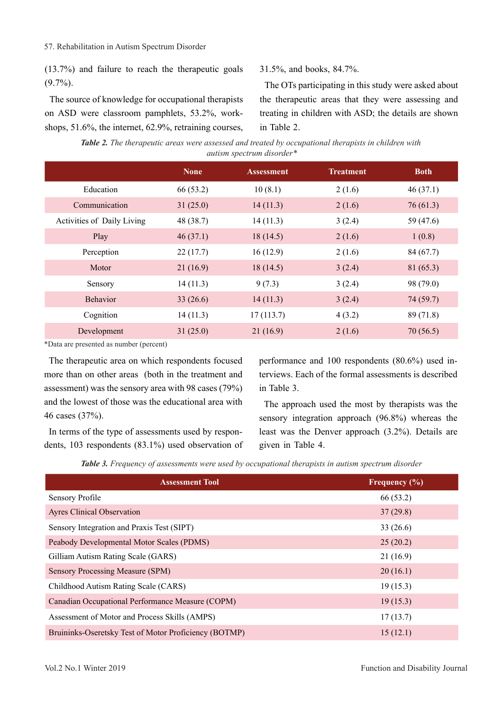(13.7%) and failure to reach the therapeutic goals (9.7%).

The source of knowledge for occupational therapists on ASD were classroom pamphlets, 53.2%, workshops, 51.6%, the internet, 62.9%, retraining courses,

## 31.5%, and books, 84.7%.

The OTs participating in this study were asked about the therapeutic areas that they were assessing and treating in children with ASD; the details are shown in Table 2.

*Table 2. The therapeutic areas were assessed and treated by occupational therapists in children with autism spectrum disorder\**

|                            | <b>None</b> | <b>Assessment</b> | <b>Treatment</b> | <b>Both</b> |
|----------------------------|-------------|-------------------|------------------|-------------|
| Education                  | 66 (53.2)   | 10(8.1)           | 2(1.6)           | 46(37.1)    |
| Communication              | 31(25.0)    | 14(11.3)          | 2(1.6)           | 76(61.3)    |
| Activities of Daily Living | 48 (38.7)   | 14(11.3)          | 3(2.4)           | 59 (47.6)   |
| Play                       | 46(37.1)    | 18(14.5)          | 2(1.6)           | 1(0.8)      |
| Perception                 | 22(17.7)    | 16(12.9)          | 2(1.6)           | 84 (67.7)   |
| Motor                      | 21(16.9)    | 18(14.5)          | 3(2.4)           | 81(65.3)    |
| Sensory                    | 14(11.3)    | 9(7.3)            | 3(2.4)           | 98 (79.0)   |
| <b>Behavior</b>            | 33(26.6)    | 14(11.3)          | 3(2.4)           | 74 (59.7)   |
| Cognition                  | 14(11.3)    | 17(113.7)         | 4(3.2)           | 89 (71.8)   |
| Development                | 31(25.0)    | 21(16.9)          | 2(1.6)           | 70(56.5)    |

\*Data are presented as number (percent)

The therapeutic area on which respondents focused more than on other areas (both in the treatment and assessment) was the sensory area with 98 cases (79%) and the lowest of those was the educational area with 46 cases (37%).

In terms of the type of assessments used by respondents, 103 respondents (83.1%) used observation of performance and 100 respondents (80.6%) used interviews. Each of the formal assessments is described in Table 3.

The approach used the most by therapists was the sensory integration approach (96.8%) whereas the least was the Denver approach (3.2%). Details are given in Table 4.

*Table 3. Frequency of assessments were used by occupational therapists in autism spectrum disorder*

| <b>Assessment Tool</b>                                | Frequency $(\% )$ |
|-------------------------------------------------------|-------------------|
| <b>Sensory Profile</b>                                | 66 (53.2)         |
| <b>Ayres Clinical Observation</b>                     | 37(29.8)          |
| Sensory Integration and Praxis Test (SIPT)            | 33(26.6)          |
| Peabody Developmental Motor Scales (PDMS)             | 25(20.2)          |
| Gilliam Autism Rating Scale (GARS)                    | 21(16.9)          |
| Sensory Processing Measure (SPM)                      | 20(16.1)          |
| Childhood Autism Rating Scale (CARS)                  | 19(15.3)          |
| Canadian Occupational Performance Measure (COPM)      | 19(15.3)          |
| Assessment of Motor and Process Skills (AMPS)         | 17(13.7)          |
| Bruininks-Oseretsky Test of Motor Proficiency (BOTMP) | 15(12.1)          |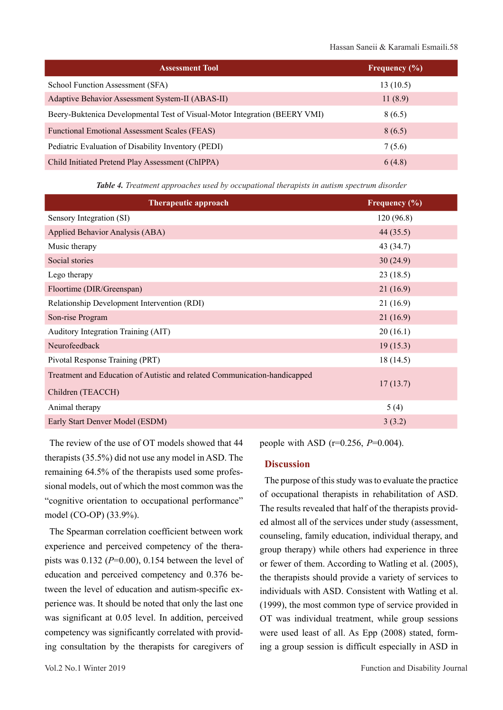| <b>Assessment Tool</b>                                                     | <b>Frequency</b> (%) |
|----------------------------------------------------------------------------|----------------------|
| School Function Assessment (SFA)                                           | 13(10.5)             |
| Adaptive Behavior Assessment System-II (ABAS-II)                           | 11(8.9)              |
| Beery-Buktenica Developmental Test of Visual-Motor Integration (BEERY VMI) | 8(6.5)               |
| Functional Emotional Assessment Scales (FEAS)                              | 8(6.5)               |
| Pediatric Evaluation of Disability Inventory (PEDI)                        | 7(5.6)               |
| Child Initiated Pretend Play Assessment (ChIPPA)                           | 6(4.8)               |

*Table 4. Treatment approaches used by occupational therapists in autism spectrum disorder*

| <b>Therapeutic approach</b>                                                                    | Frequency (%) |
|------------------------------------------------------------------------------------------------|---------------|
| Sensory Integration (SI)                                                                       | 120(96.8)     |
| Applied Behavior Analysis (ABA)                                                                | 44(35.5)      |
| Music therapy                                                                                  | 43 (34.7)     |
| Social stories                                                                                 | 30(24.9)      |
| Lego therapy                                                                                   | 23(18.5)      |
| Floortime (DIR/Greenspan)                                                                      | 21(16.9)      |
| Relationship Development Intervention (RDI)                                                    | 21(16.9)      |
| Son-rise Program                                                                               | 21(16.9)      |
| Auditory Integration Training (AIT)                                                            | 20(16.1)      |
| Neurofeedback                                                                                  | 19(15.3)      |
| Pivotal Response Training (PRT)                                                                | 18(14.5)      |
| Treatment and Education of Autistic and related Communication-handicapped<br>Children (TEACCH) | 17(13.7)      |
| Animal therapy                                                                                 | 5(4)          |
| Early Start Denver Model (ESDM)                                                                | 3(3.2)        |

The review of the use of OT models showed that 44 therapists (35.5%) did not use any model in ASD. The remaining 64.5% of the therapists used some professional models, out of which the most common was the "cognitive orientation to occupational performance" model (CO-OP) (33.9%).

The Spearman correlation coefficient between work experience and perceived competency of the therapists was  $0.132$  ( $P=0.00$ ),  $0.154$  between the level of education and perceived competency and 0.376 between the level of education and autism-specific experience was. It should be noted that only the last one was significant at 0.05 level. In addition, perceived competency was significantly correlated with providing consultation by the therapists for caregivers of people with ASD (r=0.256, *P*=0.004).

#### **Discussion**

The purpose of this study was to evaluate the practice of occupational therapists in rehabilitation of ASD. The results revealed that half of the therapists provided almost all of the services under study (assessment, counseling, family education, individual therapy, and group therapy) while others had experience in three or fewer of them. According to Watling et al. (2005), the therapists should provide a variety of services to individuals with ASD. Consistent with Watling et al. (1999), the most common type of service provided in OT was individual treatment, while group sessions were used least of all. As Epp (2008) stated, forming a group session is difficult especially in ASD in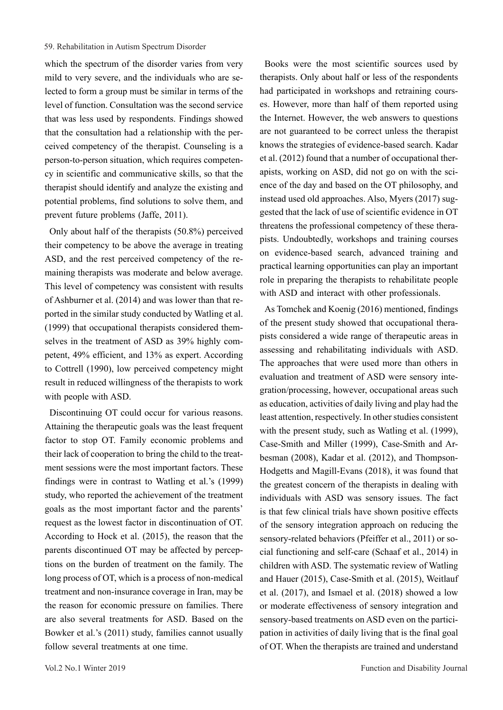which the spectrum of the disorder varies from very mild to very severe, and the individuals who are selected to form a group must be similar in terms of the level of function. Consultation was the second service that was less used by respondents. Findings showed that the consultation had a relationship with the perceived competency of the therapist. Counseling is a person-to-person situation, which requires competency in scientific and communicative skills, so that the therapist should identify and analyze the existing and potential problems, find solutions to solve them, and prevent future problems (Jaffe, 2011).

Only about half of the therapists (50.8%) perceived their competency to be above the average in treating ASD, and the rest perceived competency of the remaining therapists was moderate and below average. This level of competency was consistent with results of Ashburner et al. (2014) and was lower than that reported in the similar study conducted by Watling et al. (1999) that occupational therapists considered themselves in the treatment of ASD as 39% highly competent, 49% efficient, and 13% as expert. According to Cottrell (1990), low perceived competency might result in reduced willingness of the therapists to work with people with ASD.

Discontinuing OT could occur for various reasons. Attaining the therapeutic goals was the least frequent factor to stop OT. Family economic problems and their lack of cooperation to bring the child to the treatment sessions were the most important factors. These findings were in contrast to Watling et al.'s (1999) study, who reported the achievement of the treatment goals as the most important factor and the parents' request as the lowest factor in discontinuation of OT. According to Hock et al. (2015), the reason that the parents discontinued OT may be affected by perceptions on the burden of treatment on the family. The long process of OT, which is a process of non-medical treatment and non-insurance coverage in Iran, may be the reason for economic pressure on families. There are also several treatments for ASD. Based on the Bowker et al.'s (2011) study, families cannot usually follow several treatments at one time.

Books were the most scientific sources used by therapists. Only about half or less of the respondents had participated in workshops and retraining courses. However, more than half of them reported using the Internet. However, the web answers to questions are not guaranteed to be correct unless the therapist knows the strategies of evidence-based search. Kadar et al. (2012) found that a number of occupational therapists, working on ASD, did not go on with the science of the day and based on the OT philosophy, and instead used old approaches. Also, Myers (2017) suggested that the lack of use of scientific evidence in OT threatens the professional competency of these therapists. Undoubtedly, workshops and training courses on evidence-based search, advanced training and practical learning opportunities can play an important role in preparing the therapists to rehabilitate people with ASD and interact with other professionals.

As Tomchek and Koenig (2016) mentioned, findings of the present study showed that occupational therapists considered a wide range of therapeutic areas in assessing and rehabilitating individuals with ASD. The approaches that were used more than others in evaluation and treatment of ASD were sensory integration/processing, however, occupational areas such as education, activities of daily living and play had the least attention, respectively. In other studies consistent with the present study, such as Watling et al. (1999), Case-Smith and Miller (1999), Case-Smith and Arbesman (2008), Kadar et al. (2012), and Thompson-Hodgetts and Magill-Evans (2018), it was found that the greatest concern of the therapists in dealing with individuals with ASD was sensory issues. The fact is that few clinical trials have shown positive effects of the sensory integration approach on reducing the sensory-related behaviors (Pfeiffer et al., 2011) or social functioning and self-care (Schaaf et al., 2014) in children with ASD. The systematic review of Watling and Hauer (2015), Case-Smith et al. (2015), Weitlauf et al. (2017), and Ismael et al. (2018) showed a low or moderate effectiveness of sensory integration and sensory-based treatments on ASD even on the participation in activities of daily living that is the final goal of OT. When the therapists are trained and understand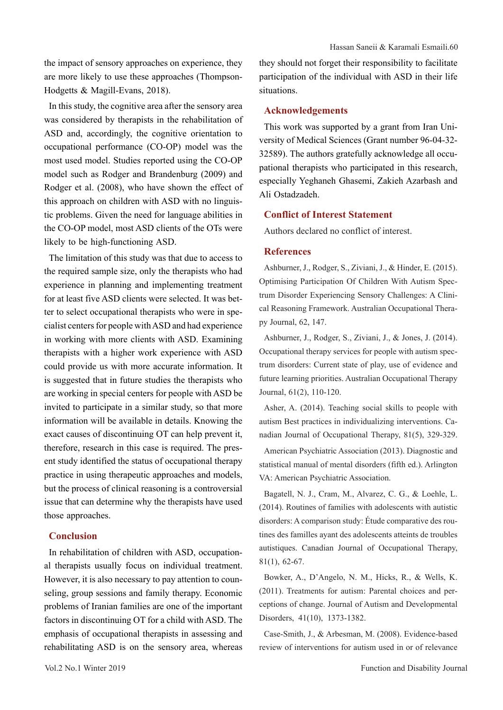the impact of sensory approaches on experience, they are more likely to use these approaches (Thompson-Hodgetts & Magill-Evans, 2018).

In this study, the cognitive area after the sensory area was considered by therapists in the rehabilitation of ASD and, accordingly, the cognitive orientation to occupational performance (CO-OP) model was the most used model. Studies reported using the CO-OP model such as Rodger and Brandenburg (2009) and Rodger et al. (2008), who have shown the effect of this approach on children with ASD with no linguistic problems. Given the need for language abilities in the CO-OP model, most ASD clients of the OTs were likely to be high-functioning ASD.

The limitation of this study was that due to access to the required sample size, only the therapists who had experience in planning and implementing treatment for at least five ASD clients were selected. It was better to select occupational therapists who were in specialist centers for people with ASD and had experience in working with more clients with ASD. Examining therapists with a higher work experience with ASD could provide us with more accurate information. It is suggested that in future studies the therapists who are working in special centers for people with ASD be invited to participate in a similar study, so that more information will be available in details. Knowing the exact causes of discontinuing OT can help prevent it, therefore, research in this case is required. The present study identified the status of occupational therapy practice in using therapeutic approaches and models, but the process of clinical reasoning is a controversial issue that can determine why the therapists have used those approaches.

## **Conclusion**

In rehabilitation of children with ASD, occupational therapists usually focus on individual treatment. However, it is also necessary to pay attention to counseling, group sessions and family therapy. Economic problems of Iranian families are one of the important factors in discontinuing OT for a child with ASD. The emphasis of occupational therapists in assessing and rehabilitating ASD is on the sensory area, whereas

they should not forget their responsibility to facilitate participation of the individual with ASD in their life situations.

#### **Acknowledgements**

This work was supported by a grant from Iran University of Medical Sciences (Grant number 96-04-32- 32589). The authors gratefully acknowledge all occupational therapists who participated in this research, especially Yeghaneh Ghasemi, Zakieh Azarbash and Ali Ostadzadeh.

### **Conflict of Interest Statement**

Authors declared no conflict of interest.

## **References**

Ashburner, J., Rodger, S., Ziviani, J., & Hinder, E. (2015). Optimising Participation Of Children With Autism Spectrum Disorder Experiencing Sensory Challenges: A Clinical Reasoning Framework. Australian Occupational Therapy Journal, 62, 147.

Ashburner, J., Rodger, S., Ziviani, J., & Jones, J. (2014). Occupational therapy services for people with autism spectrum disorders: Current state of play, use of evidence and future learning priorities. Australian Occupational Therapy Journal, 61(2), 110-120.

Asher, A. (2014). Teaching social skills to people with autism Best practices in individualizing interventions. Canadian Journal of Occupational Therapy, 81(5), 329-329.

American Psychiatric Association (2013). Diagnostic and statistical manual of mental disorders (fifth ed.). Arlington VA: American Psychiatric Association.

Bagatell, N. J., Cram, M., Alvarez, C. G., & Loehle, L. (2014). Routines of families with adolescents with autistic disorders: A comparison study: Étude comparative des routines des familles ayant des adolescents atteints de troubles autistiques. Canadian Journal of Occupational Therapy, 81(1), 62-67.

Bowker, A., D'Angelo, N. M., Hicks, R., & Wells, K. (2011). Treatments for autism: Parental choices and perceptions of change. Journal of Autism and Developmental Disorders, 41(10), 1373-1382.

Case-Smith, J., & Arbesman, M. (2008). Evidence-based review of interventions for autism used in or of relevance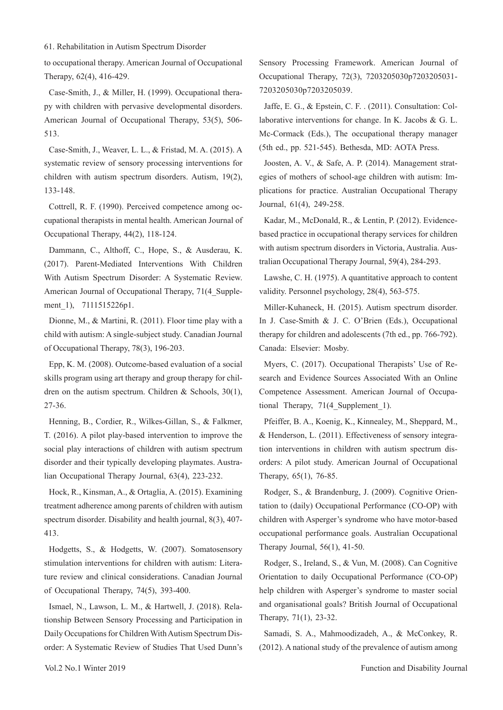to occupational therapy. American Journal of Occupational Therapy, 62(4), 416-429.

Case-Smith, J., & Miller, H. (1999). Occupational therapy with children with pervasive developmental disorders. American Journal of Occupational Therapy, 53(5), 506- 513.

Case-Smith, J., Weaver, L. L., & Fristad, M. A. (2015). A systematic review of sensory processing interventions for children with autism spectrum disorders. Autism, 19(2), 133-148.

Cottrell, R. F. (1990). Perceived competence among occupational therapists in mental health. American Journal of Occupational Therapy, 44(2), 118-124.

Dammann, C., Althoff, C., Hope, S., & Ausderau, K. (2017). Parent-Mediated Interventions With Children With Autism Spectrum Disorder: A Systematic Review. American Journal of Occupational Therapy, 71(4 Supplement 1), 7111515226p1.

Dionne, M., & Martini, R. (2011). Floor time play with a child with autism: A single-subject study. Canadian Journal of Occupational Therapy, 78(3), 196-203.

Epp, K. M. (2008). Outcome-based evaluation of a social skills program using art therapy and group therapy for children on the autism spectrum. Children & Schools, 30(1), 27-36.

Henning, B., Cordier, R., Wilkes-Gillan, S., & Falkmer, T. (2016). A pilot play‐based intervention to improve the social play interactions of children with autism spectrum disorder and their typically developing playmates. Australian Occupational Therapy Journal, 63(4), 223-232.

Hock, R., Kinsman, A., & Ortaglia, A. (2015). Examining treatment adherence among parents of children with autism spectrum disorder. Disability and health journal, 8(3), 407- 413.

Hodgetts, S., & Hodgetts, W. (2007). Somatosensory stimulation interventions for children with autism: Literature review and clinical considerations. Canadian Journal of Occupational Therapy, 74(5), 393-400.

Ismael, N., Lawson, L. M., & Hartwell, J. (2018). Relationship Between Sensory Processing and Participation in Daily Occupations for Children With Autism Spectrum Disorder: A Systematic Review of Studies That Used Dunn's

Sensory Processing Framework. American Journal of Occupational Therapy, 72(3), 7203205030p7203205031- 7203205030p7203205039.

Jaffe, E. G., & Epstein, C. F. . (2011). Consultation: Collaborative interventions for change. In K. Jacobs & G. L. Mc-Cormack (Eds.), The occupational therapy manager (5th ed., pp. 521-545). Bethesda, MD: AOTA Press.

Joosten, A. V., & Safe, A. P. (2014). Management strategies of mothers of school‐age children with autism: Implications for practice. Australian Occupational Therapy Journal, 61(4), 249-258.

Kadar, M., McDonald, R., & Lentin, P. (2012). Evidence‐ based practice in occupational therapy services for children with autism spectrum disorders in Victoria, Australia. Australian Occupational Therapy Journal, 59(4), 284-293.

Lawshe, C. H. (1975). A quantitative approach to content validity. Personnel psychology, 28(4), 563-575.

Miller-Kuhaneck, H. (2015). Autism spectrum disorder. In J. Case-Smith & J. C. O'Brien (Eds.), Occupational therapy for children and adolescents (7th ed., pp. 766-792). Canada: Elsevier: Mosby.

Myers, C. (2017). Occupational Therapists' Use of Research and Evidence Sources Associated With an Online Competence Assessment. American Journal of Occupational Therapy, 71(4 Supplement 1).

Pfeiffer, B. A., Koenig, K., Kinnealey, M., Sheppard, M., & Henderson, L. (2011). Effectiveness of sensory integration interventions in children with autism spectrum disorders: A pilot study. American Journal of Occupational Therapy, 65(1), 76-85.

Rodger, S., & Brandenburg, J. (2009). Cognitive Orientation to (daily) Occupational Performance (CO‐OP) with children with Asperger's syndrome who have motor‐based occupational performance goals. Australian Occupational Therapy Journal, 56(1), 41-50.

Rodger, S., Ireland, S., & Vun, M. (2008). Can Cognitive Orientation to daily Occupational Performance (CO-OP) help children with Asperger's syndrome to master social and organisational goals? British Journal of Occupational Therapy, 71(1), 23-32.

Samadi, S. A., Mahmoodizadeh, A., & McConkey, R. (2012). A national study of the prevalence of autism among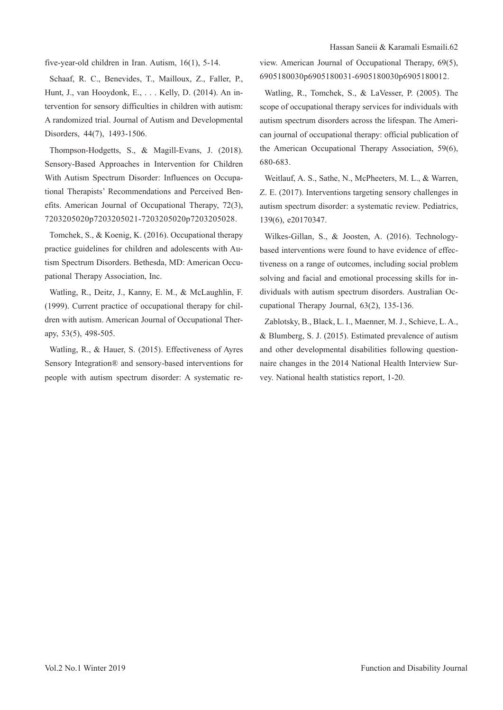five-year-old children in Iran. Autism, 16(1), 5-14.

Schaaf, R. C., Benevides, T., Mailloux, Z., Faller, P., Hunt, J., van Hooydonk, E., . . . Kelly, D. (2014). An intervention for sensory difficulties in children with autism: A randomized trial. Journal of Autism and Developmental Disorders, 44(7), 1493-1506.

Thompson-Hodgetts, S., & Magill-Evans, J. (2018). Sensory-Based Approaches in Intervention for Children With Autism Spectrum Disorder: Influences on Occupational Therapists' Recommendations and Perceived Benefits. American Journal of Occupational Therapy, 72(3), 7203205020p7203205021-7203205020p7203205028.

Tomchek, S., & Koenig, K. (2016). Occupational therapy practice guidelines for children and adolescents with Autism Spectrum Disorders. Bethesda, MD: American Occupational Therapy Association, Inc.

Watling, R., Deitz, J., Kanny, E. M., & McLaughlin, F. (1999). Current practice of occupational therapy for children with autism. American Journal of Occupational Therapy, 53(5), 498-505.

Watling, R., & Hauer, S. (2015). Effectiveness of Ayres Sensory Integration® and sensory-based interventions for people with autism spectrum disorder: A systematic review. American Journal of Occupational Therapy, 69(5), 6905180030p6905180031-6905180030p6905180012.

Watling, R., Tomchek, S., & LaVesser, P. (2005). The scope of occupational therapy services for individuals with autism spectrum disorders across the lifespan. The American journal of occupational therapy: official publication of the American Occupational Therapy Association, 59(6), 680-683.

Weitlauf, A. S., Sathe, N., McPheeters, M. L., & Warren, Z. E. (2017). Interventions targeting sensory challenges in autism spectrum disorder: a systematic review. Pediatrics, 139(6), e20170347.

Wilkes-Gillan, S., & Joosten, A. (2016). Technologybased interventions were found to have evidence of effectiveness on a range of outcomes, including social problem solving and facial and emotional processing skills for individuals with autism spectrum disorders. Australian Occupational Therapy Journal, 63(2), 135-136.

Zablotsky, B., Black, L. I., Maenner, M. J., Schieve, L. A., & Blumberg, S. J. (2015). Estimated prevalence of autism and other developmental disabilities following questionnaire changes in the 2014 National Health Interview Survey. National health statistics report, 1-20.